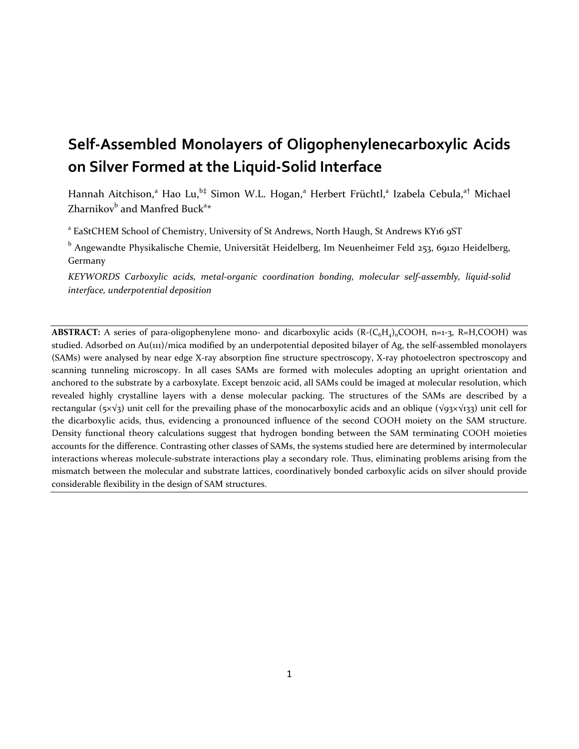# **Self-Assembled Monolayers of Oligophenylenecarboxylic Acids on Silver Formed at the Liquid-Solid Interface**

Hannah Aitchison,<sup>a</sup> Hao Lu,<sup>b‡</sup> Simon W.L. Hogan,<sup>a</sup> Herbert Früchtl,<sup>a</sup> Izabela Cebula,<sup>a†</sup> Michael Zharnikov $^{\rm b}$  and Manfred Buck $^{\rm a} \ast$ 

<sup>a</sup> EaStCHEM School of Chemistry, University of St Andrews, North Haugh, St Andrews KY16 9ST

<sup>b</sup> Angewandte Physikalische Chemie, Universität Heidelberg, Im Neuenheimer Feld 253, 69120 Heidelberg, Germany

*KEYWORDS Carboxylic acids, metal-organic coordination bonding, molecular self-assembly, liquid-solid interface, underpotential deposition*

**ABSTRACT:** A series of para-oligophenylene mono- and dicarboxylic acids  $(R-(C_6H_4)_nCOOH, n=1-3, R=H, COOH)$  was studied. Adsorbed on Au(111)/mica modified by an underpotential deposited bilayer of Ag, the self-assembled monolayers (SAMs) were analysed by near edge X-ray absorption fine structure spectroscopy, X-ray photoelectron spectroscopy and scanning tunneling microscopy. In all cases SAMs are formed with molecules adopting an upright orientation and anchored to the substrate by a carboxylate. Except benzoic acid, all SAMs could be imaged at molecular resolution, which revealed highly crystalline layers with a dense molecular packing. The structures of the SAMs are described by a rectangular (5×√3) unit cell for the prevailing phase of the monocarboxylic acids and an oblique (√93×√133) unit cell for the dicarboxylic acids, thus, evidencing a pronounced influence of the second COOH moiety on the SAM structure. Density functional theory calculations suggest that hydrogen bonding between the SAM terminating COOH moieties accounts for the difference. Contrasting other classes of SAMs, the systems studied here are determined by intermolecular interactions whereas molecule-substrate interactions play a secondary role. Thus, eliminating problems arising from the mismatch between the molecular and substrate lattices, coordinatively bonded carboxylic acids on silver should provide considerable flexibility in the design of SAM structures.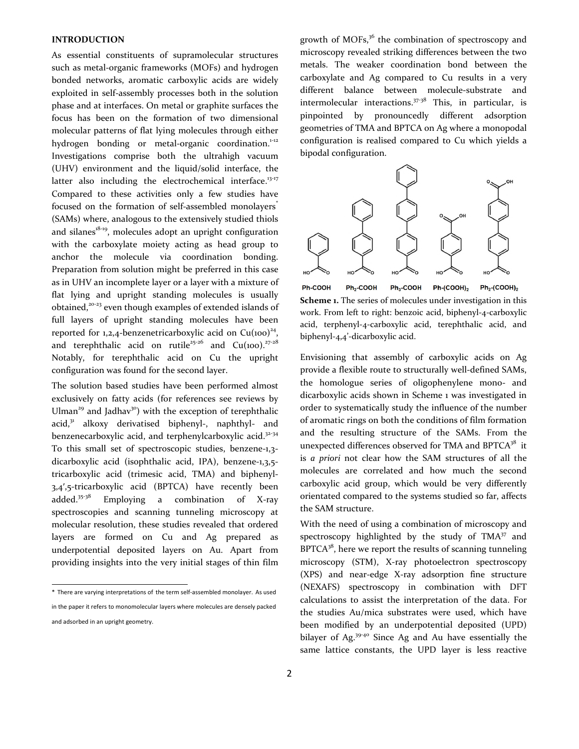#### **INTRODUCTION**

As essential constituents of supramolecular structures such as metal-organic frameworks (MOFs) and hydrogen bonded networks, aromatic carboxylic acids are widely exploited in self-assembly processes both in the solution phase and at interfaces. On metal or graphite surfaces the focus has been on the formation of two dimensional molecular patterns of flat lying molecules through either hydrogen bonding or metal-organic coordination.<sup>1-12</sup> Investigations comprise both the ultrahigh vacuum (UHV) environment and the liquid/solid interface, the latter also including the electrochemical interface.<sup>13-17</sup> Compared to these activities only a few studies have focused on the formation of self-assembled monolayers<sup>\*</sup> (SAMs) where, analogous to the extensively studied thiols and silanes $18-19$ , molecules adopt an upright configuration with the carboxylate moiety acting as head group to anchor the molecule via coordination bonding. Preparation from solution might be preferred in this case as in UHV an incomplete layer or a layer with a mixture of flat lying and upright standing molecules is usually obtained,<sup>20-23</sup> even though examples of extended islands of full layers of upright standing molecules have been reported for  $1,2,4$ -benzenetricarboxylic acid on  $Cu(100)^{24}$ , and terephthalic acid on rutile<sup>25-26</sup> and Cu(100).<sup>27-28</sup> Notably, for terephthalic acid on Cu the upright configuration was found for the second layer.

The solution based studies have been performed almost exclusively on fatty acids (for references see reviews by Ulman<sup>29</sup> and Jadhav<sup>30</sup>) with the exception of terephthalic  $acid<sub>2</sub><sup>31</sup>$  alkoxy derivatised biphenyl-, naphthyl- and benzenecarboxylic acid, and terphenylcarboxylic acid.<sup>32-34</sup> To this small set of spectroscopic studies, benzene-1,3 dicarboxylic acid (isophthalic acid, IPA), benzene-1,3,5 tricarboxylic acid (trimesic acid, TMA) and biphenyl-3,4′,5-tricarboxylic acid (BPTCA) have recently been added.<sup>35-38</sup> Employing a combination of X-ray spectroscopies and scanning tunneling microscopy at molecular resolution, these studies revealed that ordered layers are formed on Cu and Ag prepared as underpotential deposited layers on Au. Apart from providing insights into the very initial stages of thin film

\* There are varying interpretations of the term self-assembled monolayer. As used in the paper it refers to monomolecular layers where molecules are densely packed and adsorbed in an upright geometry.

growth of MOFs,<sup>36</sup> the combination of spectroscopy and microscopy revealed striking differences between the two metals. The weaker coordination bond between the carboxylate and Ag compared to Cu results in a very different balance between molecule-substrate and intermolecular interactions. $37-38$  This, in particular, is pinpointed by pronouncedly different adsorption geometries of TMA and BPTCA on Ag where a monopodal configuration is realised compared to Cu which yields a bipodal configuration.



**Scheme 1.** The series of molecules under investigation in this work. From left to right: benzoic acid, biphenyl-4-carboxylic acid, terphenyl-4-carboxylic acid, terephthalic acid, and biphenyl-4,4'-dicarboxylic acid.

Envisioning that assembly of carboxylic acids on Ag provide a flexible route to structurally well-defined SAMs, the homologue series of oligophenylene mono- and dicarboxylic acids shown in Scheme 1 was investigated in order to systematically study the influence of the number of aromatic rings on both the conditions of film formation and the resulting structure of the SAMs. From the unexpected differences observed for TMA and BPTCA<sup>38</sup> it is *a priori* not clear how the SAM structures of all the molecules are correlated and how much the second carboxylic acid group, which would be very differently orientated compared to the systems studied so far, affects the SAM structure.

With the need of using a combination of microscopy and spectroscopy highlighted by the study of  $TMA^{37}$  and  $BPTCA<sup>38</sup>$ , here we report the results of scanning tunneling microscopy (STM), X-ray photoelectron spectroscopy (XPS) and near-edge X-ray adsorption fine structure (NEXAFS) spectroscopy in combination with DFT calculations to assist the interpretation of the data. For the studies Au/mica substrates were used, which have been modified by an underpotential deposited (UPD) bilayer of Ag.<sup>39-40</sup> Since Ag and Au have essentially the same lattice constants, the UPD layer is less reactive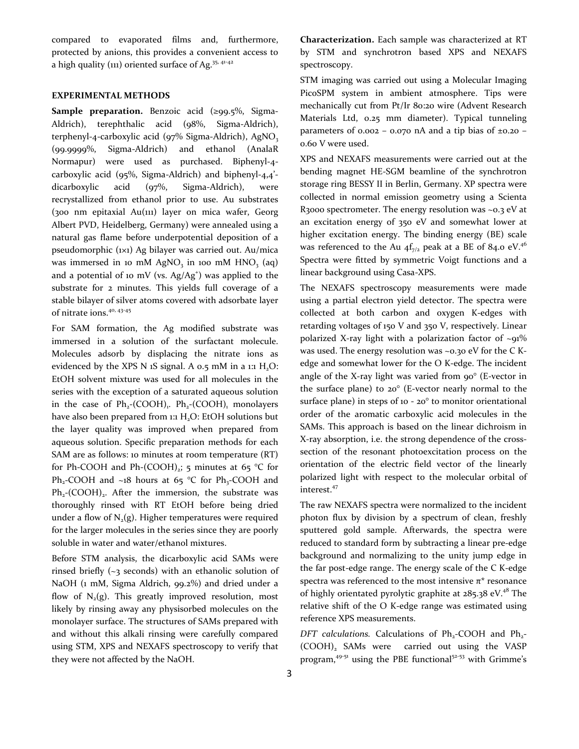compared to evaporated films and, furthermore, protected by anions, this provides a convenient access to a high quality (111) oriented surface of Ag.<sup>35, 41-42</sup>

## **EXPERIMENTAL METHODS**

**Sample preparation.** Benzoic acid (≥99.5%, Sigma-Aldrich), terephthalic acid (98%, Sigma-Aldrich), terphenyl-4-carboxylic acid ( $97\%$  Sigma-Aldrich), AgNO<sub>3</sub> (99.9999%, Sigma-Aldrich) and ethanol (AnalaR Normapur) were used as purchased. Biphenyl-4 carboxylic acid (95%, Sigma-Aldrich) and biphenyl-4,4' dicarboxylic acid (97%, Sigma-Aldrich), were recrystallized from ethanol prior to use. Au substrates (300 nm epitaxial Au(111) layer on mica wafer, Georg Albert PVD, Heidelberg, Germany) were annealed using a natural gas flame before underpotential deposition of a pseudomorphic (1×1) Ag bilayer was carried out. Au/mica was immersed in 10 mM  $AgNO<sub>3</sub>$  in 100 mM  $HNO<sub>3</sub>$  (aq) and a potential of 10 mV (vs.  $Ag/Ag^*$ ) was applied to the substrate for 2 minutes. This yields full coverage of a stable bilayer of silver atoms covered with adsorbate layer of nitrate ions.<sup>40, 43-45</sup>

For SAM formation, the Ag modified substrate was immersed in a solution of the surfactant molecule. Molecules adsorb by displacing the nitrate ions as evidenced by the XPS N 1S signal. A  $0.5$  mM in a 1:1  $H<sub>2</sub>O$ : EtOH solvent mixture was used for all molecules in the series with the exception of a saturated aqueous solution in the case of  $Ph_2$ -(COOH)<sub>1</sub>.  $Ph_2$ -(COOH)<sub>1</sub> monolayers have also been prepared from 1:1  $H<sub>2</sub>O$ : EtOH solutions but the layer quality was improved when prepared from aqueous solution. Specific preparation methods for each SAM are as follows: 10 minutes at room temperature (RT) for Ph-COOH and Ph- $(COOH)_2$ ; 5 minutes at 65 °C for Ph<sub>2</sub>-COOH and ~18 hours at 65 °C for Ph<sub>3</sub>-COOH and  $Ph_2$ -(COOH)<sub>2</sub>. After the immersion, the substrate was thoroughly rinsed with RT EtOH before being dried under a flow of  $N_2(g)$ . Higher temperatures were required for the larger molecules in the series since they are poorly soluble in water and water/ethanol mixtures.

Before STM analysis, the dicarboxylic acid SAMs were rinsed briefly (~3 seconds) with an ethanolic solution of NaOH (1 mM, Sigma Aldrich, 99.2%) and dried under a flow of  $N_2(g)$ . This greatly improved resolution, most likely by rinsing away any physisorbed molecules on the monolayer surface. The structures of SAMs prepared with and without this alkali rinsing were carefully compared using STM, XPS and NEXAFS spectroscopy to verify that they were not affected by the NaOH.

**Characterization.** Each sample was characterized at RT by STM and synchrotron based XPS and NEXAFS spectroscopy.

STM imaging was carried out using a Molecular Imaging PicoSPM system in ambient atmosphere. Tips were mechanically cut from Pt/Ir 80:20 wire (Advent Research Materials Ltd, 0.25 mm diameter). Typical tunneling parameters of 0.002 – 0.070 nA and a tip bias of  $\pm$ 0.20 – 0.60 V were used.

XPS and NEXAFS measurements were carried out at the bending magnet HE-SGM beamline of the synchrotron storage ring BESSY II in Berlin, Germany. XP spectra were collected in normal emission geometry using a Scienta R3000 spectrometer. The energy resolution was  $\sim$ 0.3 eV at an excitation energy of 350 eV and somewhat lower at higher excitation energy. The binding energy (BE) scale was referenced to the Au  $4f_{7/2}$  peak at a BE of 84.0 eV.<sup>46</sup> Spectra were fitted by symmetric Voigt functions and a linear background using Casa-XPS.

The NEXAFS spectroscopy measurements were made using a partial electron yield detector. The spectra were collected at both carbon and oxygen K-edges with retarding voltages of 150 V and 350 V, respectively. Linear polarized X-ray light with a polarization factor of  $\sim$ 91% was used. The energy resolution was ~0.30 eV for the C Kedge and somewhat lower for the O K-edge. The incident angle of the X-ray light was varied from  $90^\circ$  (E-vector in the surface plane) to 20° (E-vector nearly normal to the surface plane) in steps of 10 - 20° to monitor orientational order of the aromatic carboxylic acid molecules in the SAMs. This approach is based on the linear dichroism in X-ray absorption, i.e. the strong dependence of the crosssection of the resonant photoexcitation process on the orientation of the electric field vector of the linearly polarized light with respect to the molecular orbital of interest.<sup>47</sup>

The raw NEXAFS spectra were normalized to the incident photon flux by division by a spectrum of clean, freshly sputtered gold sample. Afterwards, the spectra were reduced to standard form by subtracting a linear pre-edge background and normalizing to the unity jump edge in the far post-edge range. The energy scale of the C K-edge spectra was referenced to the most intensive  $\pi^*$  resonance of highly orientated pyrolytic graphite at  $285.38$  eV.<sup>48</sup> The relative shift of the O K-edge range was estimated using reference XPS measurements.

DFT calculations. Calculations of Ph<sub>2</sub>-COOH and Ph<sub>2</sub>-(COOH), SAMs were carried out using the VASP program,<sup>49-51</sup> using the PBE functional<sup>52-53</sup> with Grimme's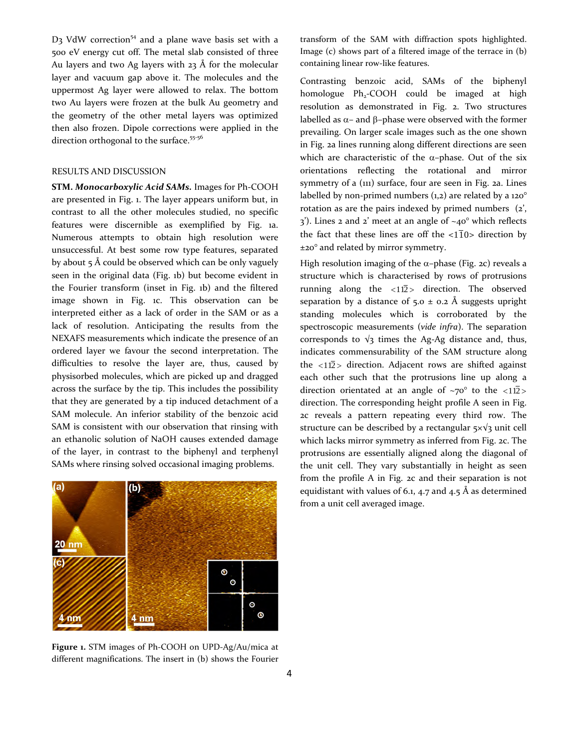$D_3$  VdW correction<sup>54</sup> and a plane wave basis set with a 500 eV energy cut off. The metal slab consisted of three Au layers and two Ag layers with 23 Å for the molecular layer and vacuum gap above it. The molecules and the uppermost Ag layer were allowed to relax. The bottom two Au layers were frozen at the bulk Au geometry and the geometry of the other metal layers was optimized then also frozen. Dipole corrections were applied in the direction orthogonal to the surface.<sup>55-56</sup>

#### RESULTS AND DISCUSSION

**STM.** *Monocarboxylic Acid SAMs.* Images for Ph-COOH are presented in Fig. 1. The layer appears uniform but, in contrast to all the other molecules studied, no specific features were discernible as exemplified by Fig. 1a. Numerous attempts to obtain high resolution were unsuccessful. At best some row type features, separated by about  $5 \text{ Å}$  could be observed which can be only vaguely seen in the original data (Fig. 1b) but become evident in the Fourier transform (inset in Fig. 1b) and the filtered image shown in Fig. 1c. This observation can be interpreted either as a lack of order in the SAM or as a lack of resolution. Anticipating the results from the NEXAFS measurements which indicate the presence of an ordered layer we favour the second interpretation. The difficulties to resolve the layer are, thus, caused by physisorbed molecules, which are picked up and dragged across the surface by the tip. This includes the possibility that they are generated by a tip induced detachment of a SAM molecule. An inferior stability of the benzoic acid SAM is consistent with our observation that rinsing with an ethanolic solution of NaOH causes extended damage of the layer, in contrast to the biphenyl and terphenyl SAMs where rinsing solved occasional imaging problems.



**Figure 1.** STM images of Ph-COOH on UPD-Ag/Au/mica at different magnifications. The insert in (b) shows the Fourier

transform of the SAM with diffraction spots highlighted. Image (c) shows part of a filtered image of the terrace in (b) containing linear row-like features.

Contrasting benzoic acid, SAMs of the biphenyl homologue  $Ph_2$ -COOH could be imaged at high resolution as demonstrated in Fig. 2. Two structures labelled as  $\alpha$ - and  $\beta$ -phase were observed with the former prevailing. On larger scale images such as the one shown in Fig. 2a lines running along different directions are seen which are characteristic of the  $\alpha$ -phase. Out of the six orientations reflecting the rotational and mirror symmetry of a (111) surface, four are seen in Fig. 2a. Lines labelled by non-primed numbers  $(1,2)$  are related by a  $120^\circ$ rotation as are the pairs indexed by primed numbers (2',  $3'$ ). Lines 2 and 2' meet at an angle of  $\sim$ 40° which reflects the fact that these lines are off the  $\langle 11 \rangle$  direction by ±20° and related by mirror symmetry.

High resolution imaging of the  $\alpha$ -phase (Fig. 2c) reveals a structure which is characterised by rows of protrusions running along the  $\langle 112 \rangle$  direction. The observed separation by a distance of  $5.0 \pm 0.2$  Å suggests upright standing molecules which is corroborated by the spectroscopic measurements (*vide infra*). The separation corresponds to  $\sqrt{3}$  times the Ag-Ag distance and, thus, indicates commensurability of the SAM structure along the  $\langle 112 \rangle$  direction. Adjacent rows are shifted against each other such that the protrusions line up along a direction orientated at an angle of  $\sim 70^\circ$  to the  $\langle 112 \rangle$ direction. The corresponding height profile A seen in Fig. 2c reveals a pattern repeating every third row. The structure can be described by a rectangular  $5 \times \sqrt{3}$  unit cell which lacks mirror symmetry as inferred from Fig. 2c. The protrusions are essentially aligned along the diagonal of the unit cell. They vary substantially in height as seen from the profile A in Fig. 2c and their separation is not equidistant with values of 6.1, 4.7 and 4.5 Å as determined from a unit cell averaged image.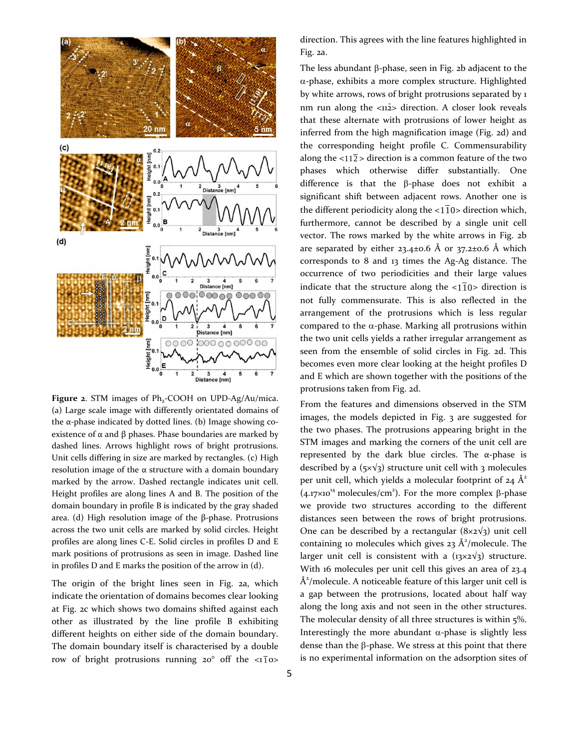

Figure 2. STM images of Ph<sub>2</sub>-COOH on UPD-Ag/Au/mica. (a) Large scale image with differently orientated domains of the α-phase indicated by dotted lines. (b) Image showing coexistence of  $\alpha$  and  $\beta$  phases. Phase boundaries are marked by dashed lines. Arrows highlight rows of bright protrusions. Unit cells differing in size are marked by rectangles. (c) High resolution image of the  $\alpha$  structure with a domain boundary marked by the arrow. Dashed rectangle indicates unit cell. Height profiles are along lines A and B. The position of the domain boundary in profile B is indicated by the gray shaded area. (d) High resolution image of the β-phase. Protrusions across the two unit cells are marked by solid circles. Height profiles are along lines C-E. Solid circles in profiles D and E mark positions of protrusions as seen in image. Dashed line in profiles D and E marks the position of the arrow in (d).

The origin of the bright lines seen in Fig. 2a, which indicate the orientation of domains becomes clear looking at Fig. 2c which shows two domains shifted against each other as illustrated by the line profile B exhibiting different heights on either side of the domain boundary. The domain boundary itself is characterised by a double row of bright protrusions running  $20^{\circ}$  off the  $\langle 1 \overline{1}$  o>

direction. This agrees with the line features highlighted in Fig. 2a.

The less abundant  $\beta$ -phase, seen in Fig. 2b adjacent to the  $\alpha$ -phase, exhibits a more complex structure. Highlighted by white arrows, rows of bright protrusions separated by 1 nm run along the  $\langle 112 \rangle$  direction. A closer look reveals that these alternate with protrusions of lower height as inferred from the high magnification image (Fig. 2d) and the corresponding height profile C. Commensurability along the  $\langle 112 \rangle$  direction is a common feature of the two phases which otherwise differ substantially. One difference is that the  $\beta$ -phase does not exhibit a significant shift between adjacent rows. Another one is the different periodicity along the  $\langle 1 \overline{1} 0 \rangle$  direction which, furthermore, cannot be described by a single unit cell vector. The rows marked by the white arrows in Fig. 2b are separated by either  $23.4\pm0.6$  Å or  $37.2\pm0.6$  Å which corresponds to 8 and 13 times the Ag-Ag distance. The occurrence of two periodicities and their large values indicate that the structure along the  $\langle 1|1 \rangle$  direction is not fully commensurate. This is also reflected in the arrangement of the protrusions which is less regular compared to the  $\alpha$ -phase. Marking all protrusions within the two unit cells yields a rather irregular arrangement as seen from the ensemble of solid circles in Fig. 2d. This becomes even more clear looking at the height profiles D and E which are shown together with the positions of the protrusions taken from Fig. 2d.

From the features and dimensions observed in the STM images, the models depicted in Fig. 3 are suggested for the two phases. The protrusions appearing bright in the STM images and marking the corners of the unit cell are represented by the dark blue circles. The  $\alpha$ -phase is described by a ( $5 \times \sqrt{3}$ ) structure unit cell with 3 molecules per unit cell, which yields a molecular footprint of  $24 \text{ Å}^2$  $(4.17 \times 10^{14} \text{ molecules/cm}^2)$ . For the more complex  $\beta$ -phase we provide two structures according to the different distances seen between the rows of bright protrusions. One can be described by a rectangular  $(8\times2\sqrt{3})$  unit cell containing 10 molecules which gives 23  $\AA^2$ /molecule. The larger unit cell is consistent with a  $(13\times2\sqrt{3})$  structure. With 16 molecules per unit cell this gives an area of 23.4  $\AA^2$ /molecule. A noticeable feature of this larger unit cell is a gap between the protrusions, located about half way along the long axis and not seen in the other structures. The molecular density of all three structures is within 5%. Interestingly the more abundant  $\alpha$ -phase is slightly less dense than the  $\beta$ -phase. We stress at this point that there is no experimental information on the adsorption sites of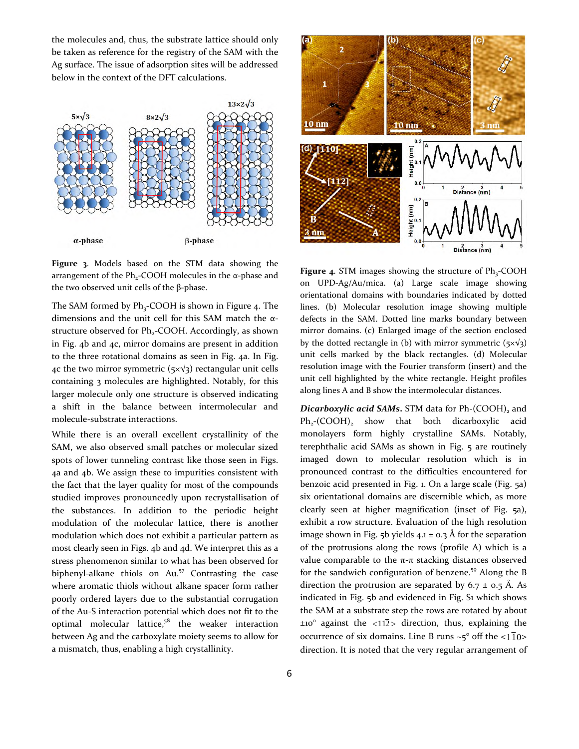the molecules and, thus, the substrate lattice should only be taken as reference for the registry of the SAM with the Ag surface. The issue of adsorption sites will be addressed below in the context of the DFT calculations.



**Figure 3**. Models based on the STM data showing the arrangement of the Ph<sub>2</sub>-COOH molecules in the α-phase and the two observed unit cells of the  $β$ -phase.

The SAM formed by  $Ph_3$ -COOH is shown in Figure 4. The dimensions and the unit cell for this SAM match the αstructure observed for Ph<sub>2</sub>-COOH. Accordingly, as shown in Fig. 4b and 4c, mirror domains are present in addition to the three rotational domains as seen in Fig. 4a. In Fig. 4c the two mirror symmetric ( $5 \times \sqrt{3}$ ) rectangular unit cells containing 3 molecules are highlighted. Notably, for this larger molecule only one structure is observed indicating a shift in the balance between intermolecular and molecule-substrate interactions.

While there is an overall excellent crystallinity of the SAM, we also observed small patches or molecular sized spots of lower tunneling contrast like those seen in Figs. 4a and 4b. We assign these to impurities consistent with the fact that the layer quality for most of the compounds studied improves pronouncedly upon recrystallisation of the substances. In addition to the periodic height modulation of the molecular lattice, there is another modulation which does not exhibit a particular pattern as most clearly seen in Figs. 4b and 4d. We interpret this as a stress phenomenon similar to what has been observed for biphenyl-alkane thiols on Au.<sup>57</sup> Contrasting the case where aromatic thiols without alkane spacer form rather poorly ordered layers due to the substantial corrugation of the Au-S interaction potential which does not fit to the optimal molecular lattice, $5^8$  the weaker interaction between Ag and the carboxylate moiety seems to allow for a mismatch, thus, enabling a high crystallinity.



Figure 4. STM images showing the structure of Ph<sub>3</sub>-COOH on UPD-Ag/Au/mica. (a) Large scale image showing orientational domains with boundaries indicated by dotted lines. (b) Molecular resolution image showing multiple defects in the SAM. Dotted line marks boundary between mirror domains. (c) Enlarged image of the section enclosed by the dotted rectangle in (b) with mirror symmetric ( $5 \times \sqrt{3}$ ) unit cells marked by the black rectangles. (d) Molecular resolution image with the Fourier transform (insert) and the unit cell highlighted by the white rectangle. Height profiles along lines A and B show the intermolecular distances.

*Dicarboxylic acid SAMs***.** STM data for Ph-(COOH)<sub>2</sub> and  $Ph_2$ -(COOH)<sub>2</sub> show that both dicarboxylic acid monolayers form highly crystalline SAMs. Notably, terephthalic acid SAMs as shown in Fig. 5 are routinely imaged down to molecular resolution which is in pronounced contrast to the difficulties encountered for benzoic acid presented in Fig. 1. On a large scale (Fig. 5a) six orientational domains are discernible which, as more clearly seen at higher magnification (inset of Fig. 5a), exhibit a row structure. Evaluation of the high resolution image shown in Fig. 5b yields  $4.1 \pm 0.3$  Å for the separation of the protrusions along the rows (profile A) which is a value comparable to the  $π$ -π stacking distances observed for the sandwich configuration of benzene.<sup>59</sup> Along the B direction the protrusion are separated by  $6.7 \pm 0.5$  Å. As indicated in Fig. 5b and evidenced in Fig. S1 which shows the SAM at a substrate step the rows are rotated by about  $\pm$ 10° against the <112> direction, thus, explaining the occurrence of six domains. Line B runs  $\sim$ 5° off the <1 $\overline{1}0$ > direction. It is noted that the very regular arrangement of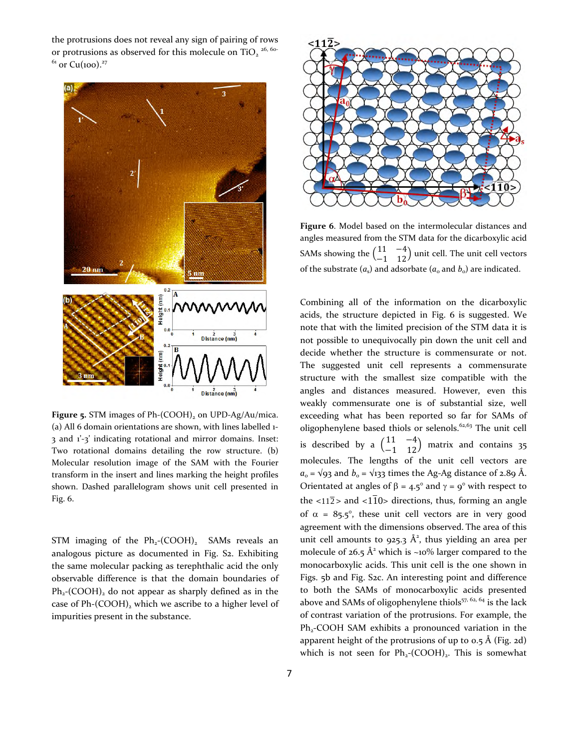the protrusions does not reveal any sign of pairing of rows or protrusions as observed for this molecule on  $TiO_2$ <sup>26, 60-</sup>  $61$  or Cu(100).<sup>27</sup>



Figure 5. STM images of Ph-(COOH)<sub>2</sub> on UPD-Ag/Au/mica. (a) All 6 domain orientations are shown, with lines labelled 1- 3 and 1'-3' indicating rotational and mirror domains. Inset: Two rotational domains detailing the row structure. (b) Molecular resolution image of the SAM with the Fourier transform in the insert and lines marking the height profiles shown. Dashed parallelogram shows unit cell presented in Fig. 6.

STM imaging of the  $Ph_2$ -(COOH)<sub>2</sub> SAMs reveals an analogous picture as documented in Fig. S<sub>2</sub>. Exhibiting the same molecular packing as terephthalic acid the only observable difference is that the domain boundaries of  $Ph<sub>2</sub>(COOH)$ , do not appear as sharply defined as in the case of Ph-(COOH)<sub>2</sub> which we ascribe to a higher level of impurities present in the substance.



**Figure 6**. Model based on the intermolecular distances and angles measured from the STM data for the dicarboxylic acid SAMs showing the  $\begin{pmatrix} 11 & -4 \\ -1 & 12 \end{pmatrix}$  $\begin{pmatrix} 11 & 7 \\ -1 & 12 \end{pmatrix}$  unit cell. The unit cell vectors of the substrate  $(a_s)$  and adsorbate  $(a_o$  and  $b_o)$  are indicated.

Combining all of the information on the dicarboxylic acids, the structure depicted in Fig. 6 is suggested. We note that with the limited precision of the STM data it is not possible to unequivocally pin down the unit cell and decide whether the structure is commensurate or not. The suggested unit cell represents a commensurate structure with the smallest size compatible with the angles and distances measured. However, even this weakly commensurate one is of substantial size, well exceeding what has been reported so far for SAMs of oligophenylene based thiols or selenols.62,63 The unit cell is described by a  $\begin{pmatrix} 11 & -4 \\ -1 & 12 \end{pmatrix}$  $\begin{pmatrix} 11 & 4 \\ -1 & 12 \end{pmatrix}$  matrix and contains 35 molecules. The lengths of the unit cell vectors are  $a_0 = \sqrt{93}$  and  $b_0 = \sqrt{133}$  times the Ag-Ag distance of 2.89 Å. Orientated at angles of  $\beta = 4.5^{\circ}$  and  $\gamma = 9^{\circ}$  with respect to the  $\langle 112 \rangle$  and  $\langle 110 \rangle$  directions, thus, forming an angle of  $\alpha = 85.5^{\circ}$ , these unit cell vectors are in very good agreement with the dimensions observed. The area of this unit cell amounts to 925.3  $\AA^2$ , thus yielding an area per molecule of  $26.5 \text{ Å}^2$  which is ~10% larger compared to the monocarboxylic acids. This unit cell is the one shown in Figs. 5b and Fig. S2c. An interesting point and difference to both the SAMs of monocarboxylic acids presented above and SAMs of oligophenylene thiols<sup>57, 62, 64</sup> is the lack of contrast variation of the protrusions. For example, the  $Ph<sub>2</sub>-COOH$  SAM exhibits a pronounced variation in the apparent height of the protrusions of up to  $0.5$  Å (Fig. 2d) which is not seen for  $Ph_2$ -(COOH)<sub>2</sub>. This is somewhat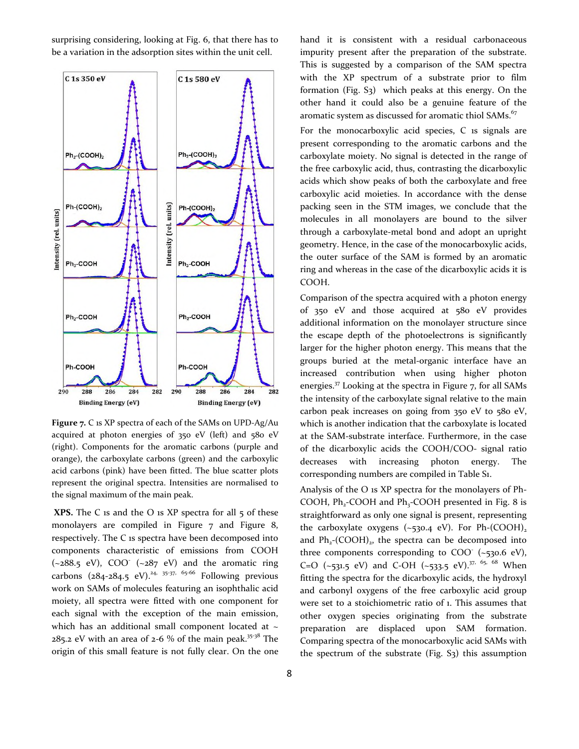surprising considering, looking at Fig. 6, that there has to be a variation in the adsorption sites within the unit cell.



**Figure 7.** C 1s XP spectra of each of the SAMs on UPD-Ag/Au acquired at photon energies of 350 eV (left) and 580 eV (right). Components for the aromatic carbons (purple and orange), the carboxylate carbons (green) and the carboxylic acid carbons (pink) have been fitted. The blue scatter plots represent the original spectra. Intensities are normalised to the signal maximum of the main peak.

**XPS.** The C is and the O is XP spectra for all 5 of these monolayers are compiled in Figure 7 and Figure 8, respectively. The C 1s spectra have been decomposed into components characteristic of emissions from COOH  $(-288.5 \text{ eV})$ , COO  $(-287 \text{ eV})$  and the aromatic ring carbons  $(284-284.5 \text{ eV})^{24, 35\cdot37, 65\cdot66}$  Following previous work on SAMs of molecules featuring an isophthalic acid moiety, all spectra were fitted with one component for each signal with the exception of the main emission, which has an additional small component located at  $\sim$ 285.2 eV with an area of 2-6 % of the main peak.<sup>35-38</sup> The origin of this small feature is not fully clear. On the one

hand it is consistent with a residual carbonaceous impurity present after the preparation of the substrate. This is suggested by a comparison of the SAM spectra with the XP spectrum of a substrate prior to film formation (Fig.  $S_3$ ) which peaks at this energy. On the other hand it could also be a genuine feature of the aromatic system as discussed for aromatic thiol SAMs.<sup>67</sup>

For the monocarboxylic acid species, C 1s signals are present corresponding to the aromatic carbons and the carboxylate moiety. No signal is detected in the range of the free carboxylic acid, thus, contrasting the dicarboxylic acids which show peaks of both the carboxylate and free carboxylic acid moieties. In accordance with the dense packing seen in the STM images, we conclude that the molecules in all monolayers are bound to the silver through a carboxylate-metal bond and adopt an upright geometry. Hence, in the case of the monocarboxylic acids, the outer surface of the SAM is formed by an aromatic ring and whereas in the case of the dicarboxylic acids it is COOH.

Comparison of the spectra acquired with a photon energy of 350 eV and those acquired at 580 eV provides additional information on the monolayer structure since the escape depth of the photoelectrons is significantly larger for the higher photon energy. This means that the groups buried at the metal-organic interface have an increased contribution when using higher photon energies.<sup>37</sup> Looking at the spectra in Figure 7, for all SAMs the intensity of the carboxylate signal relative to the main carbon peak increases on going from 350 eV to 580 eV, which is another indication that the carboxylate is located at the SAM-substrate interface. Furthermore, in the case of the dicarboxylic acids the COOH/COO- signal ratio decreases with increasing photon energy. The corresponding numbers are compiled in Table S1.

Analysis of the O 1s XP spectra for the monolayers of Ph-COOH,  $Ph_2$ -COOH and  $Ph_3$ -COOH presented in Fig. 8 is straightforward as only one signal is present, representing the carboxylate oxygens  $(-530.4 \text{ eV})$ . For Ph-(COOH)<sub>2</sub> and  $Ph_2$ -(COOH)<sub>2</sub>, the spectra can be decomposed into three components corresponding to  $COO^-$  (~530.6 eV), C=O (~531.5 eV) and C-OH (~533.5 eV).<sup>37, 65, 68</sup> When fitting the spectra for the dicarboxylic acids, the hydroxyl and carbonyl oxygens of the free carboxylic acid group were set to a stoichiometric ratio of 1. This assumes that other oxygen species originating from the substrate preparation are displaced upon SAM formation. Comparing spectra of the monocarboxylic acid SAMs with the spectrum of the substrate (Fig.  $S_3$ ) this assumption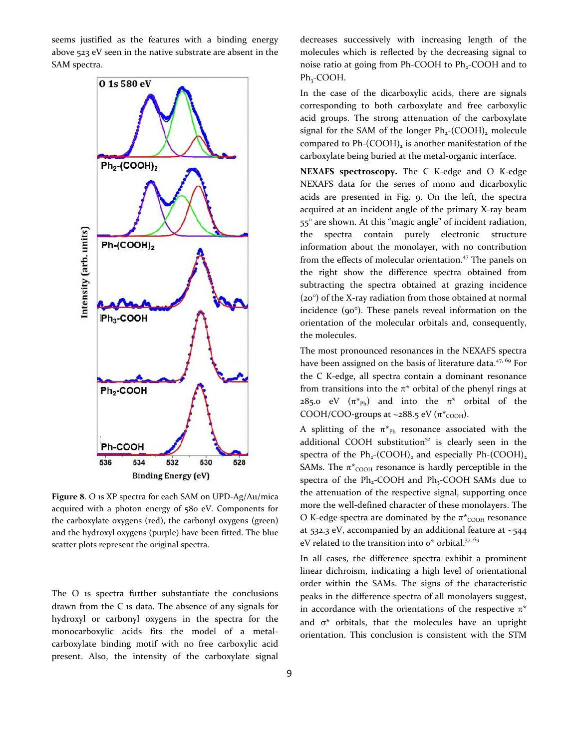seems justified as the features with a binding energy above 523 eV seen in the native substrate are absent in the SAM spectra.



**Figure 8**. O 1s XP spectra for each SAM on UPD-Ag/Au/mica acquired with a photon energy of 580 eV. Components for the carboxylate oxygens (red), the carbonyl oxygens (green) and the hydroxyl oxygens (purple) have been fitted. The blue scatter plots represent the original spectra.

The O 1s spectra further substantiate the conclusions drawn from the C 1s data. The absence of any signals for hydroxyl or carbonyl oxygens in the spectra for the monocarboxylic acids fits the model of a metalcarboxylate binding motif with no free carboxylic acid present. Also, the intensity of the carboxylate signal

decreases successively with increasing length of the molecules which is reflected by the decreasing signal to noise ratio at going from Ph-COOH to Ph<sub>2</sub>-COOH and to  $Ph_3$ -COOH.

In the case of the dicarboxylic acids, there are signals corresponding to both carboxylate and free carboxylic acid groups. The strong attenuation of the carboxylate signal for the SAM of the longer  $Ph<sub>2</sub>$ -(COOH)<sub>2</sub> molecule compared to  $Ph-(COOH)_2$  is another manifestation of the carboxylate being buried at the metal-organic interface.

**NEXAFS spectroscopy.** The C K-edge and O K-edge NEXAFS data for the series of mono and dicarboxylic acids are presented in Fig. 9. On the left, the spectra acquired at an incident angle of the primary X-ray beam 55° are shown. At this "magic angle" of incident radiation, the spectra contain purely electronic structure information about the monolayer, with no contribution from the effects of molecular orientation.<sup>47</sup> The panels on the right show the difference spectra obtained from subtracting the spectra obtained at grazing incidence (20°) of the X-ray radiation from those obtained at normal incidence (90°). These panels reveal information on the orientation of the molecular orbitals and, consequently, the molecules.

The most pronounced resonances in the NEXAFS spectra have been assigned on the basis of literature data.<sup>47, 69</sup> For the C K-edge, all spectra contain a dominant resonance from transitions into the  $\pi^*$  orbital of the phenyl rings at 285.0 eV  $(\pi^*_{\text{Ph}})$  and into the  $\pi^*$  orbital of the COOH/COO-groups at ~288.5 eV ( $\pi$ <sup>\*</sup>coo<sub>H</sub>).

A splitting of the  $\pi^*_{Ph}$  resonance associated with the additional COOH substitution $52$  is clearly seen in the spectra of the  $Ph_2$ -(COOH)<sub>2</sub> and especially  $Ph$ -(COOH)<sub>2</sub> SAMs. The  $\pi$ <sup>\*</sup>coo<sub>H</sub> resonance is hardly perceptible in the spectra of the  $Ph_2$ -COOH and  $Ph_3$ -COOH SAMs due to the attenuation of the respective signal, supporting once more the well-defined character of these monolayers. The O K-edge spectra are dominated by the  $\pi^*$ <sub>COOH</sub> resonance at 532.3 eV, accompanied by an additional feature at ~544 eV related to the transition into  $\sigma^*$  orbital.<sup>37, 69</sup>

In all cases, the difference spectra exhibit a prominent linear dichroism, indicating a high level of orientational order within the SAMs. The signs of the characteristic peaks in the difference spectra of all monolayers suggest, in accordance with the orientations of the respective  $\pi^*$ and  $\sigma^*$  orbitals, that the molecules have an upright orientation. This conclusion is consistent with the STM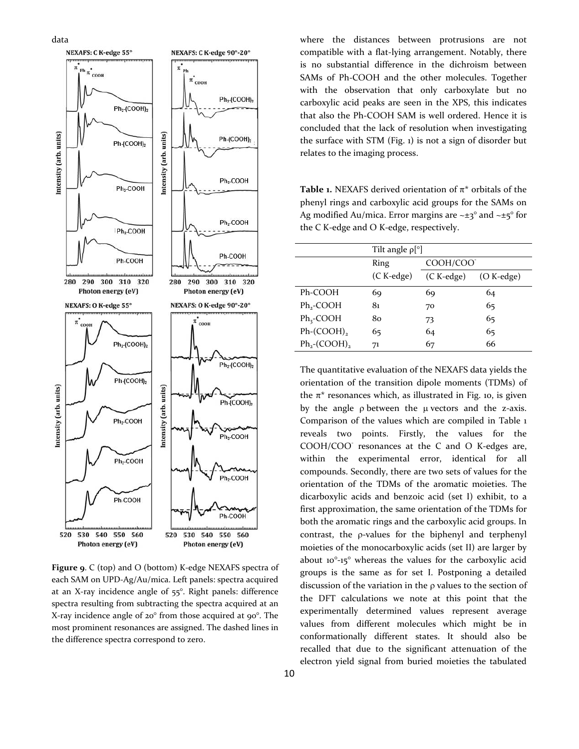

**Figure 9**. C (top) and O (bottom) K-edge NEXAFS spectra of each SAM on UPD-Ag/Au/mica. Left panels: spectra acquired at an X-ray incidence angle of 55°. Right panels: difference spectra resulting from subtracting the spectra acquired at an X-ray incidence angle of 20° from those acquired at 90°. The most prominent resonances are assigned. The dashed lines in the difference spectra correspond to zero.

where the distances between protrusions are not compatible with a flat-lying arrangement. Notably, there is no substantial difference in the dichroism between SAMs of Ph-COOH and the other molecules. Together with the observation that only carboxylate but no carboxylic acid peaks are seen in the XPS, this indicates that also the Ph-COOH SAM is well ordered. Hence it is concluded that the lack of resolution when investigating the surface with STM (Fig. 1) is not a sign of disorder but relates to the imaging process.

**Table 1.** NEXAFS derived orientation of  $\pi^*$  orbitals of the phenyl rings and carboxylic acid groups for the SAMs on Ag modified Au/mica. Error margins are  $\sim \pm 3^\circ$  and  $\sim \pm 5^\circ$  for the C K-edge and O K-edge, respectively.

|                             | Tilt angle $\rho$ [°] |            |              |  |  |  |
|-----------------------------|-----------------------|------------|--------------|--|--|--|
|                             | Ring                  | COOH/COO   |              |  |  |  |
|                             | (C K-edge)            | (C K-edge) | $(O K-edge)$ |  |  |  |
| Ph-COOH                     | 69                    | 69         | 64           |  |  |  |
| Ph <sub>2</sub> -COOH       | 81                    | 70         | 65           |  |  |  |
| $Ph_3$ -COOH                | 80                    | 73         | 65           |  |  |  |
| $Ph-(COOH)_{2}$             | 65                    | 64         | 65           |  |  |  |
| $Ph_2$ -(COOH) <sub>2</sub> | 71                    | 67         | 66           |  |  |  |
|                             |                       |            |              |  |  |  |

The quantitative evaluation of the NEXAFS data yields the orientation of the transition dipole moments (TDMs) of the  $\pi^*$  resonances which, as illustrated in Fig. 10, is given by the angle  $\rho$  between the  $\mu$  vectors and the z-axis. Comparison of the values which are compiled in Table 1 reveals two points. Firstly, the values for the COOH/COO<sup>-</sup> resonances at the C and O K-edges are, within the experimental error, identical for all compounds. Secondly, there are two sets of values for the orientation of the TDMs of the aromatic moieties. The dicarboxylic acids and benzoic acid (set I) exhibit, to a first approximation, the same orientation of the TDMs for both the aromatic rings and the carboxylic acid groups. In contrast, the  $\rho$ -values for the biphenyl and terphenyl moieties of the monocarboxylic acids (set II) are larger by about 10°-15° whereas the values for the carboxylic acid groups is the same as for set I. Postponing a detailed discussion of the variation in the  $\rho$  values to the section of the DFT calculations we note at this point that the experimentally determined values represent average values from different molecules which might be in conformationally different states. It should also be recalled that due to the significant attenuation of the electron yield signal from buried moieties the tabulated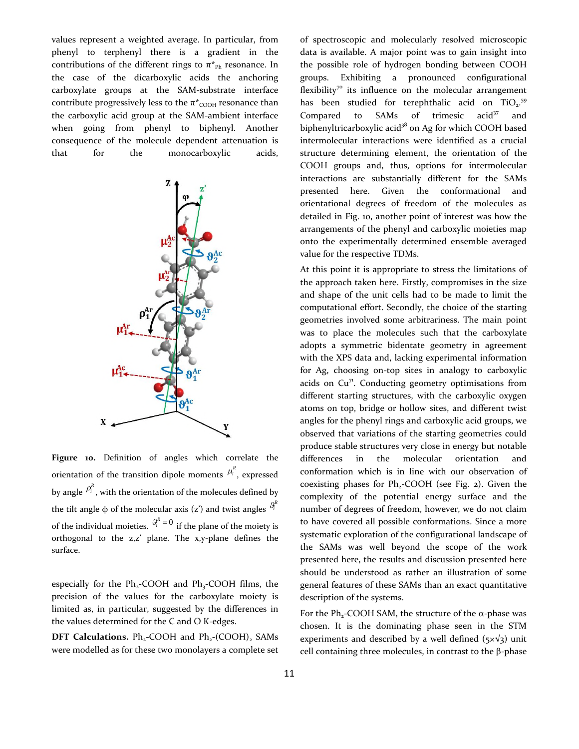values represent a weighted average. In particular, from phenyl to terphenyl there is a gradient in the contributions of the different rings to  $\pi^*_{\text{Ph}}$  resonance. In the case of the dicarboxylic acids the anchoring carboxylate groups at the SAM-substrate interface contribute progressively less to the  $\pi^*$ <sub>COOH</sub> resonance than the carboxylic acid group at the SAM-ambient interface when going from phenyl to biphenyl. Another consequence of the molecule dependent attenuation is that for the monocarboxylic acids,



**Figure 10.** Definition of angles which correlate the orientation of the transition dipole moments  $\mu_i^R$ , expressed by angle  $P_i^{\mathcal{R}}$ , with the orientation of the molecules defined by the tilt angle  $\phi$  of the molecular axis (z') and twist angles  $S_i^R$ of the individual moieties.  $\mathcal{S}_i^R = 0$  if the plane of the moiety is orthogonal to the z,z' plane. The x,y-plane defines the surface.

especially for the Ph<sub>3</sub>-COOH and Ph<sub>3</sub>-COOH films, the precision of the values for the carboxylate moiety is limited as, in particular, suggested by the differences in the values determined for the C and O K-edges.

**DFT Calculations.** Ph<sub>2</sub>-COOH and Ph<sub>2</sub>-(COOH), SAMs were modelled as for these two monolayers a complete set

of spectroscopic and molecularly resolved microscopic data is available. A major point was to gain insight into the possible role of hydrogen bonding between COOH groups. Exhibiting a pronounced configurational flexibility<sup>70</sup> its influence on the molecular arrangement has been studied for terephthalic acid on  $TiO<sub>2</sub>$ .<sup>59</sup> Compared to SAMs of trimesic  $\arctan 37$  and biphenyltricarboxylic acid<sup>38</sup> on Ag for which COOH based intermolecular interactions were identified as a crucial structure determining element, the orientation of the COOH groups and, thus, options for intermolecular interactions are substantially different for the SAMs presented here. Given the conformational and orientational degrees of freedom of the molecules as detailed in Fig. 10, another point of interest was how the arrangements of the phenyl and carboxylic moieties map onto the experimentally determined ensemble averaged value for the respective TDMs.

At this point it is appropriate to stress the limitations of the approach taken here. Firstly, compromises in the size and shape of the unit cells had to be made to limit the computational effort. Secondly, the choice of the starting geometries involved some arbitrariness. The main point was to place the molecules such that the carboxylate adopts a symmetric bidentate geometry in agreement with the XPS data and, lacking experimental information for Ag, choosing on-top sites in analogy to carboxylic acids on  $Cu^{71}$ . Conducting geometry optimisations from different starting structures, with the carboxylic oxygen atoms on top, bridge or hollow sites, and different twist angles for the phenyl rings and carboxylic acid groups, we observed that variations of the starting geometries could produce stable structures very close in energy but notable differences in the molecular orientation and conformation which is in line with our observation of coexisting phases for  $Ph_2$ -COOH (see Fig. 2). Given the complexity of the potential energy surface and the number of degrees of freedom, however, we do not claim to have covered all possible conformations. Since a more systematic exploration of the configurational landscape of the SAMs was well beyond the scope of the work presented here, the results and discussion presented here should be understood as rather an illustration of some general features of these SAMs than an exact quantitative description of the systems.

For the Ph<sub>2</sub>-COOH SAM, the structure of the  $\alpha$ -phase was chosen. It is the dominating phase seen in the STM experiments and described by a well defined ( $5\times\sqrt{3}$ ) unit cell containing three molecules, in contrast to the  $\beta$ -phase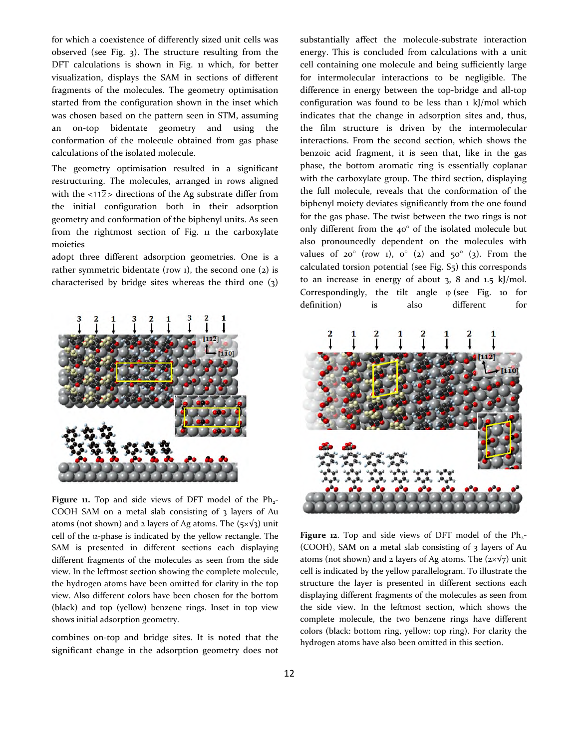for which a coexistence of differently sized unit cells was observed (see Fig. 3). The structure resulting from the DFT calculations is shown in Fig. 11 which, for better visualization, displays the SAM in sections of different fragments of the molecules. The geometry optimisation started from the configuration shown in the inset which was chosen based on the pattern seen in STM, assuming an on-top bidentate geometry and using the conformation of the molecule obtained from gas phase calculations of the isolated molecule.

The geometry optimisation resulted in a significant restructuring. The molecules, arranged in rows aligned with the  $\langle 112 \rangle$  directions of the Ag substrate differ from the initial configuration both in their adsorption geometry and conformation of the biphenyl units. As seen from the rightmost section of Fig. 11 the carboxylate moieties

adopt three different adsorption geometries. One is a rather symmetric bidentate (row  $1$ ), the second one  $(2)$  is characterised by bridge sites whereas the third one (3)



Figure 11. Top and side views of DFT model of the Ph<sub>2</sub>-COOH SAM on a metal slab consisting of 3 layers of Au atoms (not shown) and 2 layers of Ag atoms. The  $(5 \times \sqrt{3})$  unit cell of the  $\alpha$ -phase is indicated by the yellow rectangle. The SAM is presented in different sections each displaying different fragments of the molecules as seen from the side view. In the leftmost section showing the complete molecule, the hydrogen atoms have been omitted for clarity in the top view. Also different colors have been chosen for the bottom (black) and top (yellow) benzene rings. Inset in top view shows initial adsorption geometry.

combines on-top and bridge sites. It is noted that the significant change in the adsorption geometry does not

substantially affect the molecule-substrate interaction energy. This is concluded from calculations with a unit cell containing one molecule and being sufficiently large for intermolecular interactions to be negligible. The difference in energy between the top-bridge and all-top configuration was found to be less than 1 kJ/mol which indicates that the change in adsorption sites and, thus, the film structure is driven by the intermolecular interactions. From the second section, which shows the benzoic acid fragment, it is seen that, like in the gas phase, the bottom aromatic ring is essentially coplanar with the carboxylate group. The third section, displaying the full molecule, reveals that the conformation of the biphenyl moiety deviates significantly from the one found for the gas phase. The twist between the two rings is not only different from the 40° of the isolated molecule but also pronouncedly dependent on the molecules with values of  $20^{\circ}$  (row 1),  $0^{\circ}$  (2) and  $50^{\circ}$  (3). From the calculated torsion potential (see Fig. S5) this corresponds to an increase in energy of about 3, 8 and 1.5 kJ/mol. Correspondingly, the tilt angle  $\varphi$  (see Fig. 10 for definition) is also different for



Figure 12. Top and side views of DFT model of the Ph<sub>2</sub>- $(COOH)$ <sub>2</sub> SAM on a metal slab consisting of 3 layers of Au atoms (not shown) and 2 layers of Ag atoms. The  $(2 \times \sqrt{7})$  unit cell is indicated by the yellow parallelogram. To illustrate the structure the layer is presented in different sections each displaying different fragments of the molecules as seen from the side view. In the leftmost section, which shows the complete molecule, the two benzene rings have different colors (black: bottom ring, yellow: top ring). For clarity the hydrogen atoms have also been omitted in this section.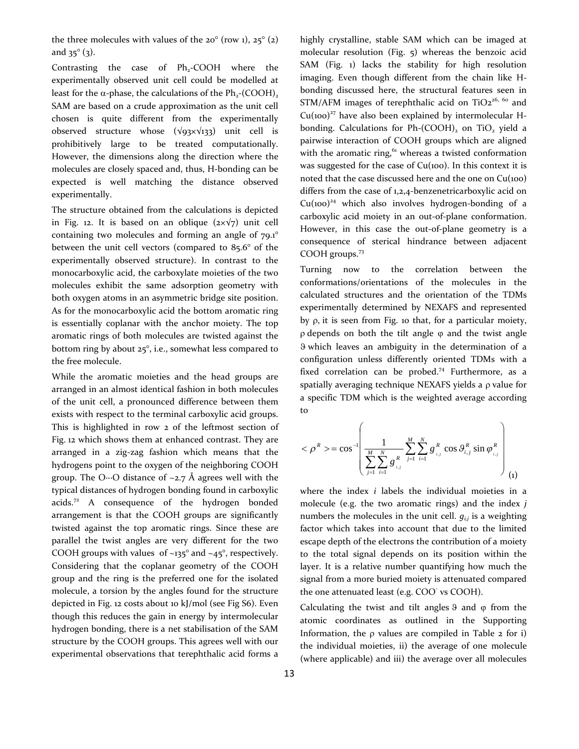the three molecules with values of the  $20^{\circ}$  (row 1),  $25^{\circ}$  (2) and  $35^{\circ}$  (3).

Contrasting the case of  $Ph_2$ -COOH where the experimentally observed unit cell could be modelled at least for the  $\alpha$ -phase, the calculations of the Ph<sub>2</sub>-(COOH)<sub>2</sub> SAM are based on a crude approximation as the unit cell chosen is quite different from the experimentally observed structure whose  $(\sqrt{93} \times \sqrt{133})$  unit cell is prohibitively large to be treated computationally. However, the dimensions along the direction where the molecules are closely spaced and, thus, H-bonding can be expected is well matching the distance observed experimentally.

The structure obtained from the calculations is depicted in Fig. 12. It is based on an oblique  $(2 \times \sqrt{7})$  unit cell containing two molecules and forming an angle of 79.1° between the unit cell vectors (compared to 85.6° of the experimentally observed structure). In contrast to the monocarboxylic acid, the carboxylate moieties of the two molecules exhibit the same adsorption geometry with both oxygen atoms in an asymmetric bridge site position. As for the monocarboxylic acid the bottom aromatic ring is essentially coplanar with the anchor moiety. The top aromatic rings of both molecules are twisted against the bottom ring by about 25°, i.e., somewhat less compared to the free molecule.

While the aromatic moieties and the head groups are arranged in an almost identical fashion in both molecules of the unit cell, a pronounced difference between them exists with respect to the terminal carboxylic acid groups. This is highlighted in row 2 of the leftmost section of Fig. 12 which shows them at enhanced contrast. They are arranged in a zig-zag fashion which means that the hydrogens point to the oxygen of the neighboring COOH group. The O…O distance of ~2.7 Å agrees well with the typical distances of hydrogen bonding found in carboxylic acids.<sup>72</sup> A consequence of the hydrogen bonded arrangement is that the COOH groups are significantly twisted against the top aromatic rings. Since these are parallel the twist angles are very different for the two COOH groups with values of  $\sim$ 135 $\degree$  and  $\sim$ 45 $\degree$ , respectively. Considering that the coplanar geometry of the COOH group and the ring is the preferred one for the isolated molecule, a torsion by the angles found for the structure depicted in Fig. 12 costs about 10 kJ/mol (see Fig S6). Even though this reduces the gain in energy by intermolecular hydrogen bonding, there is a net stabilisation of the SAM structure by the COOH groups. This agrees well with our experimental observations that terephthalic acid forms a

highly crystalline, stable SAM which can be imaged at molecular resolution (Fig. 5) whereas the benzoic acid SAM (Fig. 1) lacks the stability for high resolution imaging. Even though different from the chain like Hbonding discussed here, the structural features seen in  $STM/AFM$  images of terephthalic acid on  $TiO<sub>2</sub><sup>26, 60</sup>$  and  $Cu(100)^{27}$  have also been explained by intermolecular Hbonding. Calculations for Ph- $(COOH)$ <sub>2</sub> on TiO<sub>2</sub> yield a pairwise interaction of COOH groups which are aligned with the aromatic ring, $61$  whereas a twisted conformation was suggested for the case of Cu(100). In this context it is noted that the case discussed here and the one on Cu(100) differs from the case of 1,2,4-benzenetricarboxylic acid on  $Cu(100)^{24}$  which also involves hydrogen-bonding of a carboxylic acid moiety in an out-of-plane conformation. However, in this case the out-of-plane geometry is a consequence of sterical hindrance between adjacent COOH groups.<sup>73</sup>

Turning now to the correlation between the conformations/orientations of the molecules in the calculated structures and the orientation of the TDMs experimentally determined by NEXAFS and represented by  $\rho$ , it is seen from Fig. 10 that, for a particular moiety,  $\rho$  depends on both the tilt angle  $\varphi$  and the twist angle which leaves an ambiguity in the determination of a configuration unless differently oriented TDMs with a fixed correlation can be probed.<sup>74</sup> Furthermore, as a spatially averaging technique NEXAFS yields a  $\rho$  value for a specific TDM which is the weighted average according to

$$
<\rho^R> = \cos^{-1}\left(\frac{1}{\sum_{j=1}^M \sum_{i=1}^N g_{i,j}^R} \sum_{j=1}^M \sum_{i=1}^N g_{i,j}^R \cos \theta_{i,j}^R \sin \varphi_{i,j}^R\right)_{(1)}
$$

where the index *i* labels the individual moieties in a molecule (e.g. the two aromatic rings) and the index *j* numbers the molecules in the unit cell.  $q_{ij}$  is a weighting factor which takes into account that due to the limited escape depth of the electrons the contribution of a moiety to the total signal depends on its position within the layer. It is a relative number quantifying how much the signal from a more buried moiety is attenuated compared the one attenuated least (e.g. COO<sup>-</sup> vs COOH).

Calculating the twist and tilt angles  $9$  and  $\varphi$  from the atomic coordinates as outlined in the Supporting Information, the  $\rho$  values are compiled in Table 2 for i) the individual moieties, ii) the average of one molecule (where applicable) and iii) the average over all molecules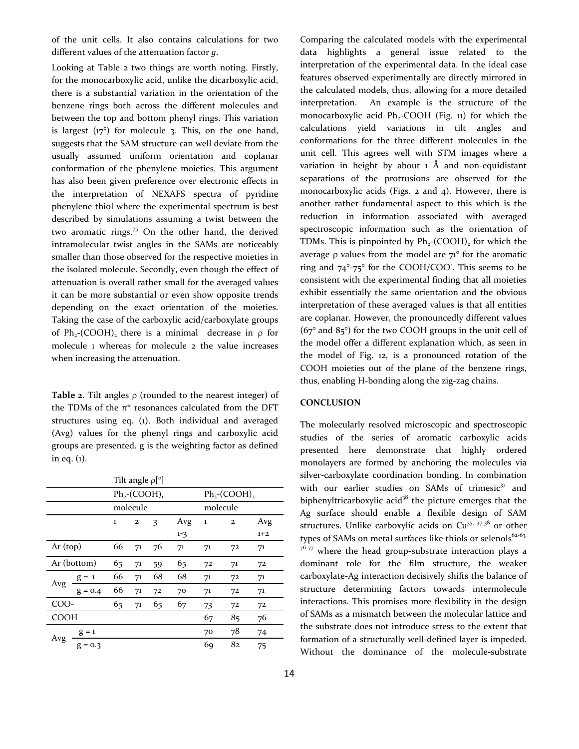of the unit cells. It also contains calculations for two different values of the attenuation factor *g*.

Looking at Table 2 two things are worth noting. Firstly, for the monocarboxylic acid, unlike the dicarboxylic acid, there is a substantial variation in the orientation of the benzene rings both across the different molecules and between the top and bottom phenyl rings. This variation is largest  $(17^{\circ})$  for molecule 3. This, on the one hand, suggests that the SAM structure can well deviate from the usually assumed uniform orientation and coplanar conformation of the phenylene moieties. This argument has also been given preference over electronic effects in the interpretation of NEXAFS spectra of pyridine phenylene thiol where the experimental spectrum is best described by simulations assuming a twist between the two aromatic rings.<sup>75</sup> On the other hand, the derived intramolecular twist angles in the SAMs are noticeably smaller than those observed for the respective moieties in the isolated molecule. Secondly, even though the effect of attenuation is overall rather small for the averaged values it can be more substantial or even show opposite trends depending on the exact orientation of the moieties. Taking the case of the carboxylic acid/carboxylate groups of Ph<sub>2</sub>-(COOH)<sub>2</sub> there is a minimal decrease in  $\rho$  for molecule 1 whereas for molecule 2 the value increases when increasing the attenuation.

**Table 2.** Tilt angles  $\rho$  (rounded to the nearest integer) of the TDMs of the  $\pi^*$  resonances calculated from the DFT structures using eq. (1). Both individual and averaged (Avg) values for the phenyl rings and carboxylic acid groups are presented. g is the weighting factor as defined in eq. (1).

|             | Tilt angle $\rho$ [°] |              |                             |    |         |          |                             |       |  |
|-------------|-----------------------|--------------|-----------------------------|----|---------|----------|-----------------------------|-------|--|
|             |                       |              | $Ph_2$ -(COOH) <sub>1</sub> |    |         |          | $Ph_2$ -(COOH) <sub>2</sub> |       |  |
|             |                       |              | molecule                    |    |         | molecule |                             |       |  |
|             |                       | $\mathbf{1}$ | $\mathbf{2}$                | 3  | Avg     | $\bf{1}$ | $\mathbf{2}$                | Avg   |  |
|             |                       |              |                             |    | $1 - 3$ |          |                             | $1+2$ |  |
| Ar (top)    |                       | 66           | 71                          | 76 | 71      | 71       | 72                          | 71    |  |
| Ar (bottom) |                       | 65           | 71                          | 59 | 65      | 72       | 71                          | 72    |  |
| Avg         | $g = 1$               | 66           | 71                          | 68 | 68      | 71       | 72                          | 71    |  |
|             | $g = 0.4$             | 66           | 71                          | 72 | 70      | 71       | 72                          | 71    |  |
| COO-        |                       | 65           | 71                          | 65 | 67      | 73       | 72                          | 72    |  |
| <b>COOH</b> |                       |              |                             |    |         | 67       | 85                          | 76    |  |
| Avg         | $g = 1$               |              |                             |    |         | 70       | 78                          | 74    |  |
|             | $g = 0.3$             |              |                             |    |         | 69       | 82                          | 75    |  |

Comparing the calculated models with the experimental data highlights a general issue related to the interpretation of the experimental data. In the ideal case features observed experimentally are directly mirrored in the calculated models, thus, allowing for a more detailed interpretation. An example is the structure of the monocarboxylic acid  $Ph<sub>2</sub>-COOH$  (Fig. 11) for which the calculations yield variations in tilt angles and conformations for the three different molecules in the unit cell. This agrees well with STM images where a variation in height by about  $1$  Å and non-equidistant separations of the protrusions are observed for the monocarboxylic acids (Figs. 2 and 4). However, there is another rather fundamental aspect to this which is the reduction in information associated with averaged spectroscopic information such as the orientation of TDMs. This is pinpointed by  $Ph_2$ -(COOH)<sub>2</sub> for which the average  $\rho$  values from the model are  $71^{\circ}$  for the aromatic ring and  $74^{\circ}$ -75° for the COOH/COO. This seems to be consistent with the experimental finding that all moieties exhibit essentially the same orientation and the obvious interpretation of these averaged values is that all entities are coplanar. However, the pronouncedly different values  $(67°$  and  $85°)$  for the two COOH groups in the unit cell of the model offer a different explanation which, as seen in the model of Fig. 12, is a pronounced rotation of the COOH moieties out of the plane of the benzene rings, thus, enabling H-bonding along the zig-zag chains.

#### **CONCLUSION**

The molecularly resolved microscopic and spectroscopic studies of the series of aromatic carboxylic acids presented here demonstrate that highly ordered monolayers are formed by anchoring the molecules via silver-carboxylate coordination bonding. In combination with our earlier studies on SAMs of trimesic<sup>37</sup> and biphenyltricarboxylic acid<sup>38</sup> the picture emerges that the Ag surface should enable a flexible design of SAM structures. Unlike carboxylic acids on  $Cu^{35}$ ,  $37-38$  or other types of SAMs on metal surfaces like thiols or selenols $62-63$ ,  $76-77$  where the head group-substrate interaction plays a dominant role for the film structure, the weaker carboxylate-Ag interaction decisively shifts the balance of structure determining factors towards intermolecule interactions. This promises more flexibility in the design of SAMs as a mismatch between the molecular lattice and the substrate does not introduce stress to the extent that formation of a structurally well-defined layer is impeded. Without the dominance of the molecule-substrate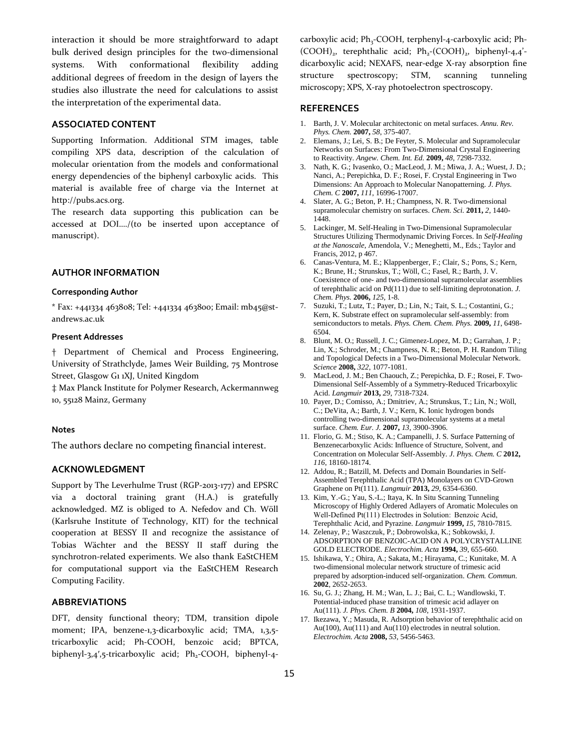interaction it should be more straightforward to adapt bulk derived design principles for the two-dimensional systems. With conformational flexibility adding additional degrees of freedom in the design of layers the studies also illustrate the need for calculations to assist the interpretation of the experimental data.

# **ASSOCIATED CONTENT**

Supporting Information. Additional STM images, table compiling XPS data, description of the calculation of molecular orientation from the models and conformational energy dependencies of the biphenyl carboxylic acids. This material is available free of charge via the Internet at http://pubs.acs.org.

The research data supporting this publication can be accessed at DOI…./(to be inserted upon acceptance of manuscript).

# **AUTHOR INFORMATION**

#### **Corresponding Author**

\* Fax: +441334 463808; Tel: +441334 463800; Email: mb45@standrews.ac.uk

#### **Present Addresses**

† Department of Chemical and Process Engineering, University of Strathclyde, James Weir Building, 75 Montrose Street, Glasgow G1 1XJ, United Kingdom

‡ Max Planck Institute for Polymer Research, Ackermannweg 10, 55128 Mainz, Germany

#### **Notes**

The authors declare no competing financial interest.

# **ACKNOWLEDGMENT**

Support by The Leverhulme Trust (RGP-2013-177) and EPSRC via a doctoral training grant (H.A.) is gratefully acknowledged. MZ is obliged to A. Nefedov and Ch. Wöll (Karlsruhe Institute of Technology, KIT) for the technical cooperation at BESSY II and recognize the assistance of Tobias Wächter and the BESSY II staff during the synchrotron-related experiments. We also thank EaStCHEM for computational support via the EaStCHEM Research Computing Facility.

## **ABBREVIATIONS**

DFT, density functional theory; TDM, transition dipole moment; IPA, benzene-1,3-dicarboxylic acid; TMA, 1,3,5 tricarboxylic acid; Ph-COOH, benzoic acid; BPTCA, biphenyl-3,4',5-tricarboxylic acid; Ph<sub>2</sub>-COOH, biphenyl-4carboxylic acid; Ph<sub>3</sub>-COOH, terphenyl-4-carboxylic acid; Ph- $(COOH)_2$ , terephthalic acid;  $Ph_2$ - $(COOH)_2$ , biphenyl-4,4<sup>2</sup>dicarboxylic acid; NEXAFS, near-edge X-ray absorption fine structure spectroscopy; STM, scanning tunneling microscopy; XPS, X-ray photoelectron spectroscopy.

#### **REFERENCES**

- 1. Barth, J. V. Molecular architectonic on metal surfaces. *Annu. Rev. Phys. Chem.* **2007,** *58*, 375-407.
- 2. Elemans, J.; Lei, S. B.; De Feyter, S. Molecular and Supramolecular Networks on Surfaces: From Two-Dimensional Crystal Engineering to Reactivity. *Angew. Chem. Int. Ed.* **2009,** *48*, 7298-7332.
- 3. Nath, K. G.; Ivasenko, O.; MacLeod, J. M.; Miwa, J. A.; Wuest, J. D.; Nanci, A.; Perepichka, D. F.; Rosei, F. Crystal Engineering in Two Dimensions: An Approach to Molecular Nanopatterning. *J. Phys. Chem. C* **2007,** *111*, 16996-17007.
- 4. Slater, A. G.; Beton, P. H.; Champness, N. R. Two-dimensional supramolecular chemistry on surfaces. *Chem. Sci.* **2011,** *2*, 1440- 1448.
- 5. Lackinger, M. Self-Healing in Two-Dimensional Supramolecular Structures Utilizing Thermodynamic Driving Forces. In *Self-Healing at the Nanoscale*, Amendola, V.; Meneghetti, M., Eds.; Taylor and Francis, 2012, p 467.
- 6. Canas-Ventura, M. E.; Klappenberger, F.; Clair, S.; Pons, S.; Kern, K.; Brune, H.; Strunskus, T.; Wöll, C.; Fasel, R.; Barth, J. V. Coexistence of one- and two-dimensional supramolecular assemblies of terephthalic acid on Pd(111) due to self-limiting deprotonation. *J. Chem. Phys.* **2006,** *125*, 1-8.
- 7. Suzuki, T.; Lutz, T.; Payer, D.; Lin, N.; Tait, S. L.; Costantini, G.; Kern, K. Substrate effect on supramolecular self-assembly: from semiconductors to metals. *Phys. Chem. Chem. Phys.* **2009,** *11*, 6498- 6504.
- 8. Blunt, M. O.; Russell, J. C.; Gimenez-Lopez, M. D.; Garrahan, J. P.; Lin, X.; Schroder, M.; Champness, N. R.; Beton, P. H. Random Tiling and Topological Defects in a Two-Dimensional Molecular Network. *Science* **2008,** *322*, 1077-1081.
- 9. MacLeod, J. M.; Ben Chaouch, Z.; Perepichka, D. F.; Rosei, F. Two-Dimensional Self-Assembly of a Symmetry-Reduced Tricarboxylic Acid. *Langmuir* **2013,** *29*, 7318-7324.
- 10. Payer, D.; Comisso, A.; Dmitriev, A.; Strunskus, T.; Lin, N.; Wöll, C.; DeVita, A.; Barth, J. V.; Kern, K. Ionic hydrogen bonds controlling two-dimensional supramolecular systems at a metal surface. *Chem. Eur. J.* **2007,** *13*, 3900-3906.
- 11. Florio, G. M.; Stiso, K. A.; Campanelli, J. S. Surface Patterning of Benzenecarboxylic Acids: Influence of Structure, Solvent, and Concentration on Molecular Self-Assembly. *J. Phys. Chem. C* **2012,** *116*, 18160-18174.
- 12. Addou, R.; Batzill, M. Defects and Domain Boundaries in Self-Assembled Terephthalic Acid (TPA) Monolayers on CVD-Grown Graphene on Pt(111). *Langmuir* **2013,** *29*, 6354-6360.
- 13. Kim, Y.-G.; Yau, S.-L.; Itaya, K. In Situ Scanning Tunneling Microscopy of Highly Ordered Adlayers of Aromatic Molecules on Well-Defined Pt(111) Electrodes in Solution: Benzoic Acid, Terephthalic Acid, and Pyrazine. *Langmuir* **1999,** *15*, 7810-7815.
- 14. Zelenay, P.; Waszczuk, P.; Dobrowolska, K.; Sobkowski, J. ADSORPTION OF BENZOIC-ACID ON A POLYCRYSTALLINE GOLD ELECTRODE. *Electrochim. Acta* **1994,** *39*, 655-660.
- 15. Ishikawa, Y.; Ohira, A.; Sakata, M.; Hirayama, C.; Kunitake, M. A two-dimensional molecular network structure of trimesic acid prepared by adsorption-induced self-organization. *Chem. Commun.* **2002**, 2652-2653.
- 16. Su, G. J.; Zhang, H. M.; Wan, L. J.; Bai, C. L.; Wandlowski, T. Potential-induced phase transition of trimesic acid adlayer on Au(111). *J. Phys. Chem. B* **2004,** *108*, 1931-1937.
- 17. Ikezawa, Y.; Masuda, R. Adsorption behavior of terephthalic acid on Au(100), Au(111) and Au(110) electrodes in neutral solution. *Electrochim. Acta* **2008,** *53*, 5456-5463.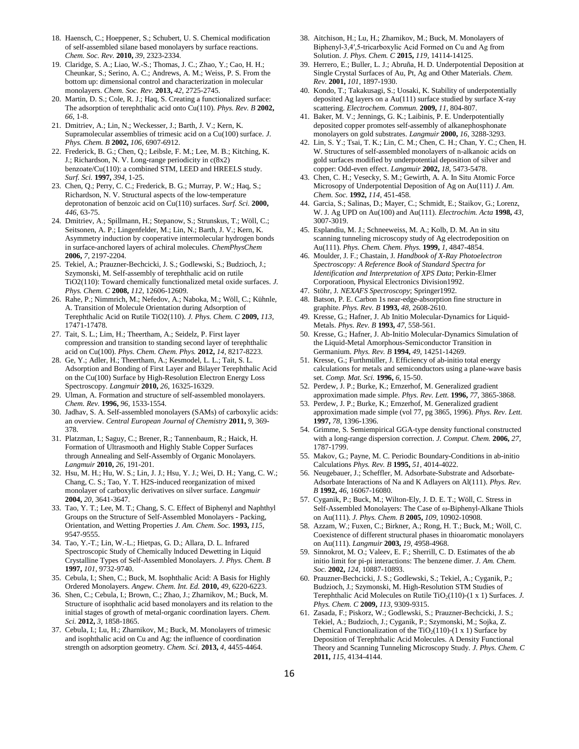- 18. Haensch, C.; Hoeppener, S.; Schubert, U. S. Chemical modification of self-assembled silane based monolayers by surface reactions. *Chem. Soc. Rev.* **2010,** *39*, 2323-2334.
- 19. Claridge, S. A.; Liao, W.-S.; Thomas, J. C.; Zhao, Y.; Cao, H. H.; Cheunkar, S.; Serino, A. C.; Andrews, A. M.; Weiss, P. S. From the bottom up: dimensional control and characterization in molecular monolayers. *Chem. Soc. Rev.* **2013,** *42*, 2725-2745.
- 20. Martin, D. S.; Cole, R. J.; Haq, S. Creating a functionalized surface: The adsorption of terephthalic acid onto Cu(110). *Phys. Rev. B* **2002,** *66*, 1-8.
- 21. Dmitriev, A.; Lin, N.; Weckesser, J.; Barth, J. V.; Kern, K. Supramolecular assemblies of trimesic acid on a Cu(100) surface. *J. Phys. Chem. B* **2002,** *106*, 6907-6912.
- 22. Frederick, B. G.; Chen, Q.; Leibsle, F. M.; Lee, M. B.; Kitching, K. J.; Richardson, N. V. Long-range periodicity in c(8x2) benzoate/Cu(110): a combined STM, LEED and HREELS study. *Surf. Sci.* **1997,** *394*, 1-25.
- 23. Chen, Q.; Perry, C. C.; Frederick, B. G.; Murray, P. W.; Haq, S.; Richardson, N. V. Structural aspects of the low-temperature deprotonation of benzoic acid on Cu(110) surfaces. *Surf. Sci.* **2000,** *446*, 63-75.
- 24. Dmitriev, A.; Spillmann, H.; Stepanow, S.; Strunskus, T.; Wöll, C.; Seitsonen, A. P.; Lingenfelder, M.; Lin, N.; Barth, J. V.; Kern, K. Asymmetry induction by cooperative intermolecular hydrogen bonds in surface-anchored layers of achiral molecules. *ChemPhysChem* **2006,** *7*, 2197-2204.
- 25. Tekiel, A.; Prauzner-Bechcicki, J. S.; Godlewski, S.; Budzioch, J.; Szymonski, M. Self-assembly of terephthalic acid on rutile TiO2(110): Toward chemically functionalized metal oxide surfaces. *J. Phys. Chem. C* **2008,** *112*, 12606-12609.
- 26. Rahe, P.; Nimmrich, M.; Nefedov, A.; Naboka, M.; Wöll, C.; Kühnle, A. Transition of Molecule Orientation during Adsorption of Terephthalic Acid on Rutile TiO2(110). *J. Phys. Chem. C* **2009,** *113*, 17471-17478.
- 27. Tait, S. L.; Lim, H.; Theertham, A.; Seidelz, P. First layer compression and transition to standing second layer of terephthalic acid on Cu(100). *Phys. Chem. Chem. Phys.* **2012,** *14*, 8217-8223.
- 28. Ge, Y.; Adler, H.; Theertham, A.; Kesmodel, L. L.; Tait, S. L. Adsorption and Bonding of First Layer and Bilayer Terephthalic Acid on the Cu(100) Surface by High-Resolution Electron Energy Loss Spectroscopy. *Langmuir* **2010,** *26*, 16325-16329.
- 29. Ulman, A. Formation and structure of self-assembled monolayers. *Chem. Rev.* **1996,** *96*, 1533-1554.
- 30. Jadhav, S. A. Self-assembled monolayers (SAMs) of carboxylic acids: an overview. *Central European Journal of Chemistry* **2011,** *9*, 369- 378.
- 31. Platzman, I.; Saguy, C.; Brener, R.; Tannenbaum, R.; Haick, H. Formation of Ultrasmooth and Highly Stable Copper Surfaces through Annealing and Self-Assembly of Organic Monolayers. *Langmuir* **2010,** *26*, 191-201.
- 32. Hsu, M. H.; Hu, W. S.; Lin, J. J.; Hsu, Y. J.; Wei, D. H.; Yang, C. W.; Chang, C. S.; Tao, Y. T. H2S-induced reorganization of mixed monolayer of carboxylic derivatives on silver surface. *Langmuir* **2004,** *20*, 3641-3647.
- 33. Tao, Y. T.; Lee, M. T.; Chang, S. C. Effect of Biphenyl and Naphthyl Groups on the Structure of Self-Assembled Monolayers - Packing, Orientation, and Wetting Properties *J. Am. Chem. Soc.* **1993,** *115*, 9547-9555.
- 34. Tao, Y.-T.; Lin, W.-L.; Hietpas, G. D.; Allara, D. L. Infrared Spectroscopic Study of Chemically lnduced Dewetting in Liquid Crystalline Types of Self-Assembled Monolayers. *J. Phys. Chem. B* **1997,** *101*, 9732-9740.
- 35. Cebula, I.; Shen, C.; Buck, M. Isophthalic Acid: A Basis for Highly Ordered Monolayers. *Angew. Chem. Int. Ed.* **2010,** *49*, 6220-6223.
- 36. Shen, C.; Cebula, I.; Brown, C.; Zhao, J.; Zharnikov, M.; Buck, M. Structure of isophthalic acid based monolayers and its relation to the initial stages of growth of metal-organic coordination layers. *Chem. Sci.* **2012,** *3*, 1858-1865.
- 37. Cebula, I.; Lu, H.; Zharnikov, M.; Buck, M. Monolayers of trimesic and isophthalic acid on Cu and Ag: the influence of coordination strength on adsorption geometry. *Chem. Sci.* **2013,** *4*, 4455-4464.
- 38. Aitchison, H.; Lu, H.; Zharnikov, M.; Buck, M. Monolayers of Biphenyl-3,4′,5-tricarboxylic Acid Formed on Cu and Ag from Solution. *J. Phys. Chem. C* **2015,** *119*, 14114-14125.
- 39. Herrero, E.; Buller, L. J.; Abruña, H. D. Underpotential Deposition at Single Crystal Surfaces of Au, Pt, Ag and Other Materials. *Chem. Rev.* **2001,** *101*, 1897-1930.
- 40. Kondo, T.; Takakusagi, S.; Uosaki, K. Stability of underpotentially deposited Ag layers on a Au(111) surface studied by surface X-ray scattering. *Electrochem. Commun.* **2009,** *11*, 804-807.
- 41. Baker, M. V.; Jennings, G. K.; Laibinis, P. E. Underpotentially deposited copper promotes self-assembly of alkanephosphonate monolayers on gold substrates. *Langmuir* **2000,** *16*, 3288-3293.
- 42. Lin, S. Y.; Tsai, T. K.; Lin, C. M.; Chen, C. H.; Chan, Y. C.; Chen, H. W. Structures of self-assembled monolayers of n-alkanoic acids on gold surfaces modified by underpotential deposition of silver and copper: Odd-even effect. *Langmuir* **2002,** *18*, 5473-5478.
- 43. Chen, C. H.; Vesecky, S. M.; Gewirth, A. A. In Situ Atomic Force Microsopy of Underpotential Deposition of Ag on Au(111) *J. Am. Chem. Soc.* **1992,** *114*, 451-458.
- 44. Garcia, S.; Salinas, D.; Mayer, C.; Schmidt, E.; Staikov, G.; Lorenz, W. J. Ag UPD on Au(100) and Au(111). *Electrochim. Acta* **1998,** *43*, 3007-3019.
- 45. Esplandiu, M. J.; Schneeweiss, M. A.; Kolb, D. M. An in situ scanning tunneling microscopy study of Ag electrodeposition on Au(111). *Phys. Chem. Chem. Phys.* **1999,** *1*, 4847-4854.
- 46. Moulder, J. F.; Chastain, J. *Handbook of X-Ray Photoelectron Spectroscopy: A Reference Book of Standard Spectra for Identification and Interpretation of XPS Data*; Perkin-Elmer Corporatioon, Physical Electronics Division1992.
- 47. Stöhr, J. *NEXAFS Spectroscopy*; Springer1992.
- 48. Batson, P. E. Carbon 1s near-edge-absorption fine structure in graphite. *Phys. Rev. B* **1993,** *48*, 2608-2610.
- 49. Kresse, G.; Hafner, J. Ab Initio Molecular-Dynamics for Liquid-Metals. *Phys. Rev. B* **1993,** *47*, 558-561.
- 50. Kresse, G.; Hafner, J. Ab-Initio Molecular-Dynamics Simulation of the Liquid-Metal Amorphous-Semiconductor Transition in Germanium. *Phys. Rev. B* **1994,** *49*, 14251-14269.
- 51. Kresse, G.; Furthmüller, J. Efficiency of ab-initio total energy calculations for metals and semiconductors using a plane-wave basis set. *Comp. Mat. Sci.* **1996,** *6*, 15-50.
- 52. Perdew, J. P.; Burke, K.; Ernzerhof, M. Generalized gradient approximation made simple. *Phys. Rev. Lett.* **1996,** *77*, 3865-3868.
- 53. Perdew, J. P.; Burke, K.; Ernzerhof, M. Generalized gradient approximation made simple (vol 77, pg 3865, 1996). *Phys. Rev. Lett.* **1997,** *78*, 1396-1396.
- 54. Grimme, S. Semiempirical GGA-type density functional constructed with a long-range dispersion correction. *J. Comput. Chem.* **2006,** *27*, 1787-1799.
- 55. Makov, G.; Payne, M. C. Periodic Boundary-Conditions in ab-initio Calculations *Phys. Rev. B* **1995,** *51*, 4014-4022.
- 56. Neugebauer, J.; Scheffler, M. Adsorbate-Substrate and Adsorbate-Adsorbate Interactions of Na and K Adlayers on Al(111). *Phys. Rev. B* **1992,** *46*, 16067-16080.
- 57. Cyganik, P.; Buck, M.; Wilton-Ely, J. D. E. T.; Wöll, C. Stress in Self-Assembled Monolayers: The Case of  $\omega$ -Biphenyl-Alkane Thiols on Au(111). *J. Phys. Chem. B* **2005,** *109*, 10902-10908.
- 58. Azzam, W.; Fuxen, C.; Birkner, A.; Rong, H. T.; Buck, M.; Wöll, C. Coexistence of different structural phases in thioaromatic monolayers on Au(111). *Langmuir* **2003,** *19*, 4958-4968.
- 59. Sinnokrot, M. O.; Valeev, E. F.; Sherrill, C. D. Estimates of the ab initio limit for pi-pi interactions: The benzene dimer. *J. Am. Chem. Soc.* **2002,** *124*, 10887-10893.
- 60. Prauzner-Bechcicki, J. S.; Godlewski, S.; Tekiel, A.; Cyganik, P.; Budzioch, J.; Szymonski, M. High-Resolution STM Studies of Terephthalic Acid Molecules on Rutile TiO<sub>2</sub>(110)-(1 x 1) Surfaces. *J. Phys. Chem. C* **2009,** *113*, 9309-9315.
- 61. Zasada, F.; Piskorz, W.; Godlewski, S.; Prauzner-Bechcicki, J. S.; Tekiel, A.; Budzioch, J.; Cyganik, P.; Szymonski, M.; Sojka, Z. Chemical Functionalization of the TiO<sub>2</sub>(110)-(1 x 1) Surface by Deposition of Terephthalic Acid Molecules. A Density Functional Theory and Scanning Tunneling Microscopy Study. *J. Phys. Chem. C* **2011,** *115*, 4134-4144.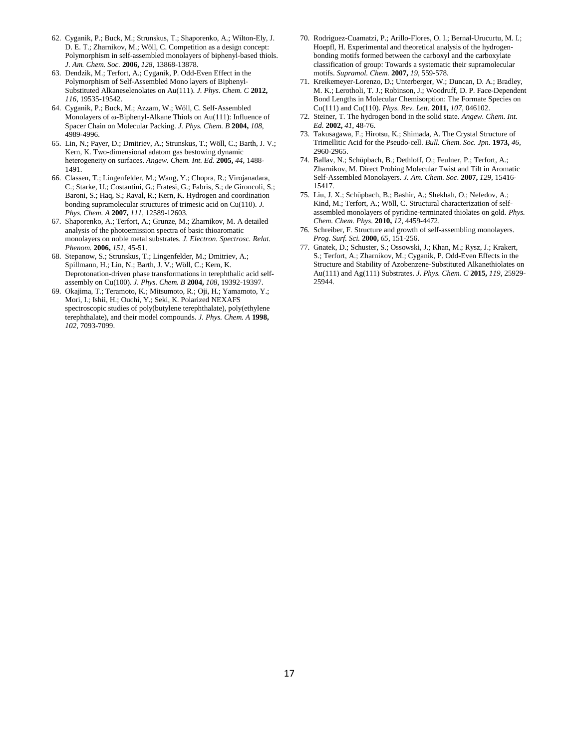- 62. Cyganik, P.; Buck, M.; Strunskus, T.; Shaporenko, A.; Wilton-Ely, J. D. E. T.; Zharnikov, M.; Wöll, C. Competition as a design concept: Polymorphism in self-assembled monolayers of biphenyl-based thiols. *J. Am. Chem. Soc.* **2006,** *128*, 13868-13878.
- 63. Dendzik, M.; Terfort, A.; Cyganik, P. Odd-Even Effect in the Polymorphism of Self-Assembled Mono layers of Biphenyl-Substituted Alkaneselenolates on Au(111). *J. Phys. Chem. C* **2012,** *116*, 19535-19542.
- 64. Cyganik, P.; Buck, M.; Azzam, W.; Wöll, C. Self-Assembled Monolayers of  $\omega$ -Biphenyl-Alkane Thiols on Au(111): Influence of Spacer Chain on Molecular Packing. *J. Phys. Chem. B* **2004,** *108*, 4989-4996.
- 65. Lin, N.; Payer, D.; Dmitriev, A.; Strunskus, T.; Wöll, C.; Barth, J. V.; Kern, K. Two-dimensional adatom gas bestowing dynamic heterogeneity on surfaces. *Angew. Chem. Int. Ed.* **2005,** *44*, 1488- 1491.
- 66. Classen, T.; Lingenfelder, M.; Wang, Y.; Chopra, R.; Virojanadara, C.; Starke, U.; Costantini, G.; Fratesi, G.; Fabris, S.; de Gironcoli, S.; Baroni, S.; Haq, S.; Raval, R.; Kern, K. Hydrogen and coordination bonding supramolecular structures of trimesic acid on Cu(110). *J. Phys. Chem. A* **2007,** *111*, 12589-12603.
- 67. Shaporenko, A.; Terfort, A.; Grunze, M.; Zharnikov, M. A detailed analysis of the photoemission spectra of basic thioaromatic monolayers on noble metal substrates. *J. Electron. Spectrosc. Relat. Phenom.* **2006,** *151*, 45-51.
- 68. Stepanow, S.; Strunskus, T.; Lingenfelder, M.; Dmitriev, A.; Spillmann, H.; Lin, N.; Barth, J. V.; Wöll, C.; Kern, K. Deprotonation-driven phase transformations in terephthalic acid selfassembly on Cu(100). *J. Phys. Chem. B* **2004,** *108*, 19392-19397.
- 69. Okajima, T.; Teramoto, K.; Mitsumoto, R.; Oji, H.; Yamamoto, Y.; Mori, I.; Ishii, H.; Ouchi, Y.; Seki, K. Polarized NEXAFS spectroscopic studies of poly(butylene terephthalate), poly(ethylene terephthalate), and their model compounds. *J. Phys. Chem. A* **1998,** *102*, 7093-7099.
- 70. Rodriguez-Cuamatzi, P.; Arillo-Flores, O. I.; Bernal-Urucurtu, M. I.; Hoepfl, H. Experimental and theoretical analysis of the hydrogenbonding motifs formed between the carboxyl and the carboxylate classification of group: Towards a systematic their supramolecular motifs. *Supramol. Chem.* **2007,** *19*, 559-578.
- 71. Kreikemeyer-Lorenzo, D.; Unterberger, W.; Duncan, D. A.; Bradley, M. K.; Lerotholi, T. J.; Robinson, J.; Woodruff, D. P. Face-Dependent Bond Lengths in Molecular Chemisorption: The Formate Species on Cu(111) and Cu(110). *Phys. Rev. Lett.* **2011,** *107*, 046102.
- 72. Steiner, T. The hydrogen bond in the solid state. *Angew. Chem. Int. Ed.* **2002,** *41*, 48-76.
- 73. Takusagawa, F.; Hirotsu, K.; Shimada, A. The Crystal Structure of Trimellitic Acid for the Pseudo-cell. *Bull. Chem. Soc. Jpn.* **1973,** *46*, 2960-2965.
- 74. Ballav, N.; Schüpbach, B.; Dethloff, O.; Feulner, P.; Terfort, A.; Zharnikov, M. Direct Probing Molecular Twist and Tilt in Aromatic Self-Assembled Monolayers. *J. Am. Chem. Soc.* **2007,** *129*, 15416- 15417.
- 75. Liu, J. X.; Schüpbach, B.; Bashir, A.; Shekhah, O.; Nefedov, A.; Kind, M.; Terfort, A.; Wöll, C. Structural characterization of selfassembled monolayers of pyridine-terminated thiolates on gold. *Phys. Chem. Chem. Phys.* **2010,** *12*, 4459-4472.
- 76. Schreiber, F. Structure and growth of self-assembling monolayers. *Prog. Surf. Sci.* **2000,** *65*, 151-256.
- 77. Gnatek, D.; Schuster, S.; Ossowski, J.; Khan, M.; Rysz, J.; Krakert, S.; Terfort, A.; Zharnikov, M.; Cyganik, P. Odd-Even Effects in the Structure and Stability of Azobenzene-Substituted Alkanethiolates on Au(111) and Ag(111) Substrates. *J. Phys. Chem. C* **2015,** *119*, 25929- 25944.